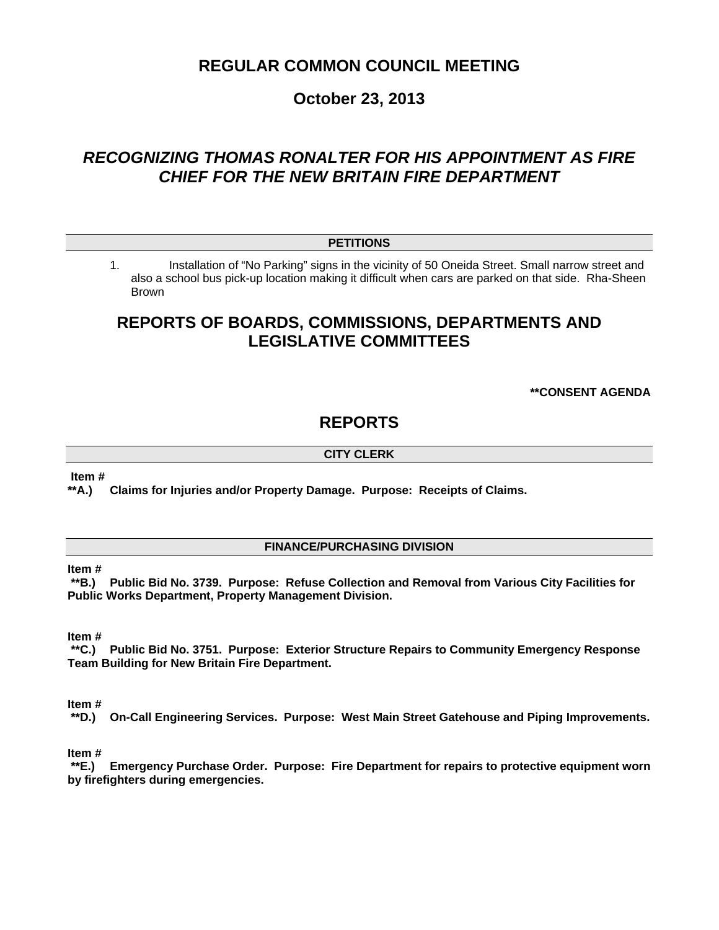# **REGULAR COMMON COUNCIL MEETING**

# **October 23, 2013**

# *RECOGNIZING THOMAS RONALTER FOR HIS APPOINTMENT AS FIRE CHIEF FOR THE NEW BRITAIN FIRE DEPARTMENT*

## **PETITIONS**

1. Installation of "No Parking" signs in the vicinity of 50 Oneida Street. Small narrow street and also a school bus pick-up location making it difficult when cars are parked on that side. Rha-Sheen Brown

# **REPORTS OF BOARDS, COMMISSIONS, DEPARTMENTS AND LEGISLATIVE COMMITTEES**

**\*\*CONSENT AGENDA** 

## **REPORTS**

## **CITY CLERK**

**Item #** 

**\*\*A.) Claims for Injuries and/or Property Damage. Purpose: Receipts of Claims.** 

## **FINANCE/PURCHASING DIVISION**

#### **Item #**

 **\*\*B.) Public Bid No. 3739. Purpose: Refuse Collection and Removal from Various City Facilities for Public Works Department, Property Management Division.** 

#### **Item #**

 **\*\*C.) Public Bid No. 3751. Purpose: Exterior Structure Repairs to Community Emergency Response Team Building for New Britain Fire Department.** 

# **Item #**

**On-Call Engineering Services. Purpose: West Main Street Gatehouse and Piping Improvements.** 

## **Item #**

 **\*\*E.) Emergency Purchase Order. Purpose: Fire Department for repairs to protective equipment worn by firefighters during emergencies.**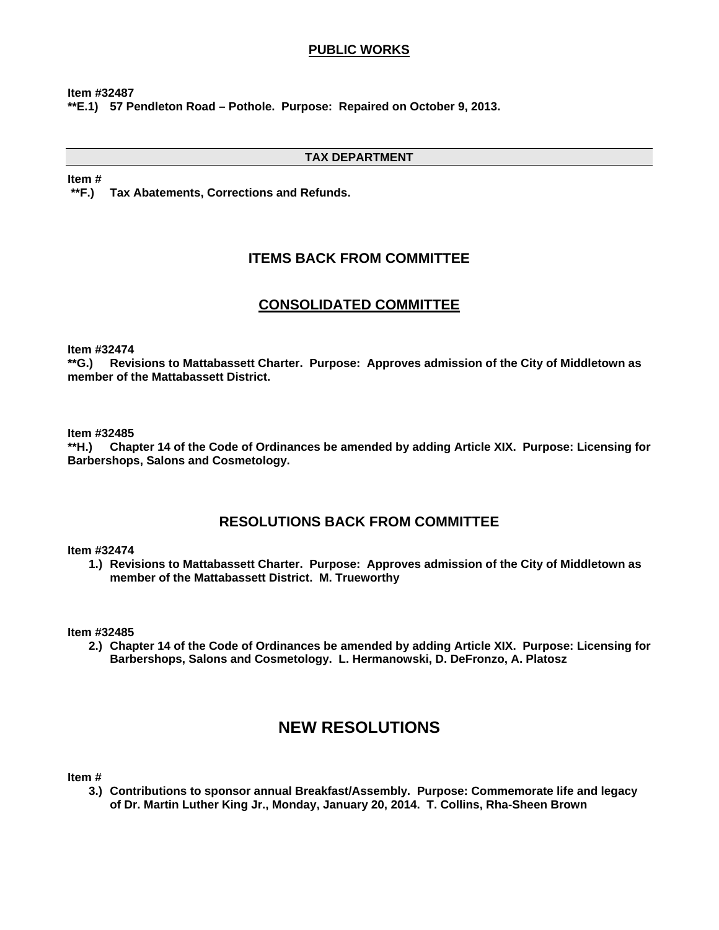## **PUBLIC WORKS**

**Item #32487 \*\*E.1) 57 Pendleton Road – Pothole. Purpose: Repaired on October 9, 2013.** 

## **TAX DEPARTMENT**

**Item #** 

 **\*\*F.) Tax Abatements, Corrections and Refunds.** 

## **ITEMS BACK FROM COMMITTEE**

## **CONSOLIDATED COMMITTEE**

**Item #32474** 

**\*\*G.) Revisions to Mattabassett Charter. Purpose: Approves admission of the City of Middletown as member of the Mattabassett District.** 

**Item #32485** 

**\*\*H.) Chapter 14 of the Code of Ordinances be amended by adding Article XIX. Purpose: Licensing for Barbershops, Salons and Cosmetology.** 

## **RESOLUTIONS BACK FROM COMMITTEE**

## **Item #32474**

**1.) Revisions to Mattabassett Charter. Purpose: Approves admission of the City of Middletown as member of the Mattabassett District. M. Trueworthy** 

**Item #32485** 

**2.) Chapter 14 of the Code of Ordinances be amended by adding Article XIX. Purpose: Licensing for Barbershops, Salons and Cosmetology. L. Hermanowski, D. DeFronzo, A. Platosz** 

# **NEW RESOLUTIONS**

**Item #** 

**3.) Contributions to sponsor annual Breakfast/Assembly. Purpose: Commemorate life and legacy of Dr. Martin Luther King Jr., Monday, January 20, 2014. T. Collins, Rha-Sheen Brown**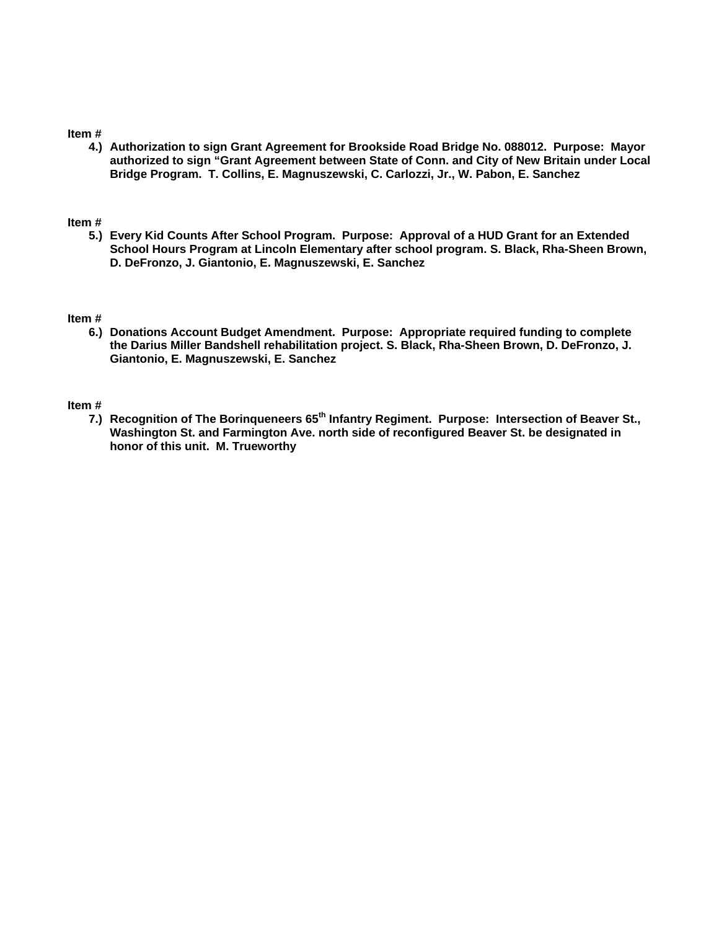#### **Item #**

**4.) Authorization to sign Grant Agreement for Brookside Road Bridge No. 088012. Purpose: Mayor authorized to sign "Grant Agreement between State of Conn. and City of New Britain under Local Bridge Program. T. Collins, E. Magnuszewski, C. Carlozzi, Jr., W. Pabon, E. Sanchez** 

#### **Item #**

**5.) Every Kid Counts After School Program. Purpose: Approval of a HUD Grant for an Extended School Hours Program at Lincoln Elementary after school program. S. Black, Rha-Sheen Brown, D. DeFronzo, J. Giantonio, E. Magnuszewski, E. Sanchez** 

#### **Item #**

**6.) Donations Account Budget Amendment. Purpose: Appropriate required funding to complete the Darius Miller Bandshell rehabilitation project. S. Black, Rha-Sheen Brown, D. DeFronzo, J. Giantonio, E. Magnuszewski, E. Sanchez** 

#### **Item #**

**7.) Recognition of The Borinqueneers 65th Infantry Regiment. Purpose: Intersection of Beaver St., Washington St. and Farmington Ave. north side of reconfigured Beaver St. be designated in honor of this unit. M. Trueworthy**